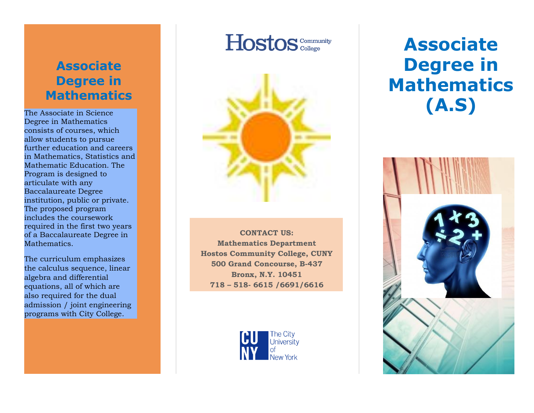# **Associate Degree in Mathematics**

The Associate in Science Degree in Mathematics consist s of courses, which allow students to pursue further education and careers in Mathematics, Statistics and Mathematic Education. The Program is designed to articulate with any Baccalaureate Degree institution, public or private. The proposed program includes the coursework required in the first two years of a Baccalaureate Degree in Mathematics.

The curriculum emphasizes the calculus sequence, linear algebra and differential equations, all of which are also required for the dual admission / joint engineering programs with City College.

# Hostos<sup>Community</sup>



**CONTACT US : Mathematics Department Hostos Community College, CUNY 500 Grand Concourse, B -437 Bronx, N.Y. 10451 718 – 518 - 6615 /6691/6616**



# **Associate Degree in Mathematics (A.S )**

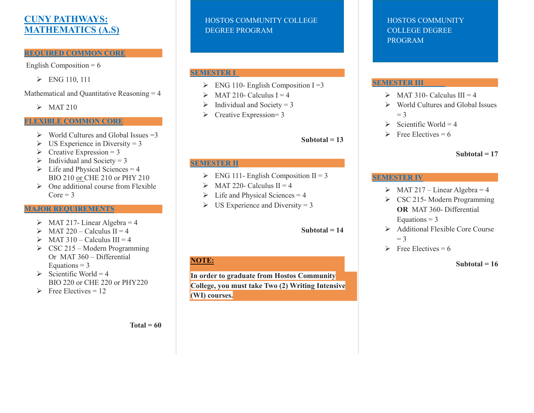## **CUNY PATHWAYS: MATHEMATICS (A.S)**

#### **REQUIRED COMMON CORE**

English Composition  $= 6$ 

ENG 110, 111

Mathematical and Quantitative Reasoning = 4

 $\triangleright$  MAT 210

#### **FLEXIBLE COMMON CORE**

- $\triangleright$  World Cultures and Global Issues = 3
- $\triangleright$  US Experience in Diversity = 3
- $\triangleright$  Creative Expression = 3
- $\triangleright$  Individual and Society = 3
- $\triangleright$  Life and Physical Sciences = 4 BIO 210 or CHE 210 or PHY 210
- $\triangleright$  One additional course from Flexible  $Core = 3$

#### **MAJOR REQUIREMENTS**

- $\triangleright$  MAT 217- Linear Algebra = 4
- $\triangleright$  MAT 220 Calculus II = 4
- $\triangleright$  MAT 310 Calculus III = 4
- $\triangleright$  CSC 215 Modern Programming Or MAT 360 – Differential Equations  $= 3$
- $\triangleright$  Scientific World = 4 BIO 220 or CHE 220 or PHY220
- $\triangleright$  Free Electives = 12

#### HOSTOS COMMUNITY COLLEGE DEGREE PROGRAM

#### **SEMESTER I**

- $\triangleright$  ENG 110- English Composition I = 3
- $\triangleright$  MAT 210- Calculus I = 4
- $\triangleright$  Individual and Society = 3
- $\triangleright$  Creative Expression= 3

**Subtotal = 13**

#### **SEMESTER II**

- $\triangleright$  ENG 111- English Composition II = 3
- $\triangleright$  MAT 220- Calculus II = 4
- $\triangleright$  Life and Physical Sciences = 4
- $\triangleright$  US Experience and Diversity = 3

#### **Subtotal = 14**

### **NOTE:**

**In order to graduate from Hostos Community College, you must take Two (2) Writing Intensive (WI) courses.**

#### HOSTOS COMMUNITY COLLEGE DEGREE PROGRAM

#### **SEMESTER III**

- $\triangleright$  MAT 310- Calculus III = 4
- World Cultures and Global Issues  $=$  3
- $\triangleright$  Scientific World = 4
- $\triangleright$  Free Electives = 6

### **Subtotal = 17**

#### **SEMESTER IV**

- $\triangleright$  MAT 217 Linear Algebra = 4
- $\triangleright$  CSC 215-Modern Programming **OR** MAT 360- Differential Equations  $= 3$
- $\triangleright$  Additional Flexible Core Course  $= 3$
- $\triangleright$  Free Electives = 6

 **Subtotal = 16**

**Total = 60**